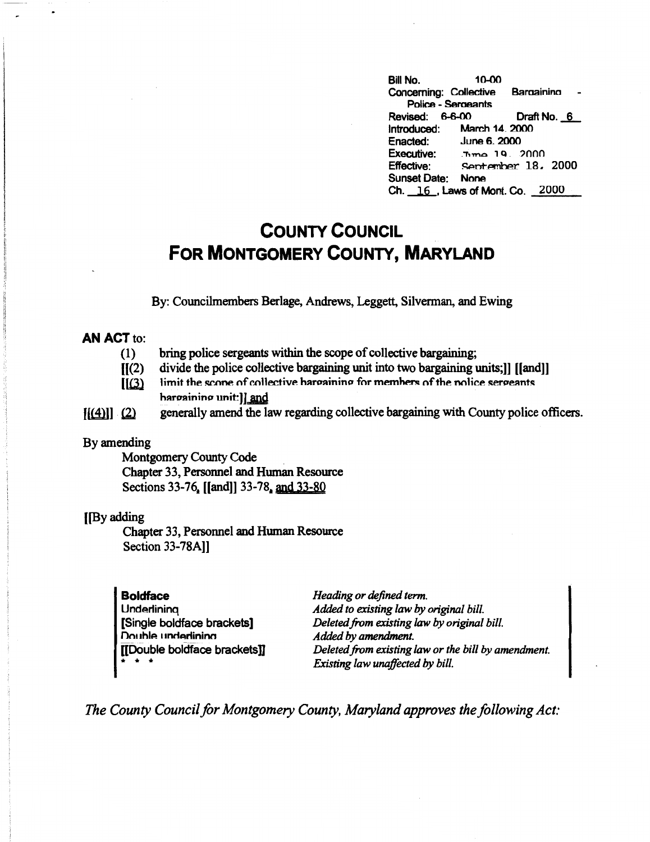**Bill No.** 10-00 Concerning: Collective Barnainino Police - **Semeants**  Revised: 6-6-00 Draft No. 6<br>
Introduced: March 14, 2000 Introduced:<br>Enacted: Enacted: June 6, 2000<br>Executive: Jime 19, 2 **Executive:** .'"!',..no , Q .. ?nnn September 18. 2000 Sunset Date: None Ch. 16, Laws of Mont. Co. 2000

## **COUNTY COUNCIL FOR MONTGOMERY COUNTY, MARYLAND**

By: Councilmembers Berlage, Andrews, Leggett, Silverman, and Ewing

## **AN ACT** to:

- (1) bring police sergeants within the scope of collective bargaining;
- $\mathbf{H}(2)$ divide the police collective bargaining unit into two bargaining units;]] [[and]]
- $[$ [ $(3)$ ] limit the scone of collective hargaining for members of the nolice sergeants **hargaining unit: ]** and
- $[$ [ $(4)$ ]  $(2)$  generally amend the law regarding collective bargaining with County police officers.

## By amending

Montgomery County Code Chapter 33, Personnel and Human Resource Sections 33-76, [[and]] 33-78, and 33-80

## [[By adding

Chapter 33, Personnel and Human Resource Section 33-78A]]

**Boldface Underlining** [Single boldface brackets] **Double underlining** [[Double boldface bracketsil \* \* \*

*Heading or defined term. Added to existing law* by *original bill. Deleted from existing law* by *original bill. Added* by *amendment. Deleted from existing law or the bill by amendment. Existing law unaffected* by *bill.* 

*The County Council for Montgomery County, Maryland approves the following Act:*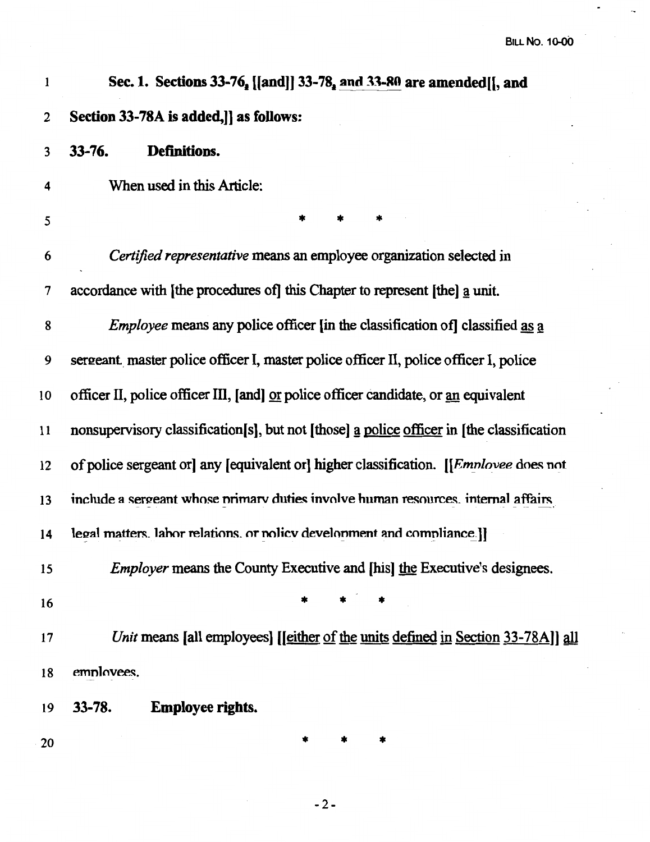| 1              | Sec. 1. Sections 33-76, [[and]] 33-78, and 33-80 are amended [[, and                         |  |  |  |
|----------------|----------------------------------------------------------------------------------------------|--|--|--|
| $\overline{2}$ | Section 33-78A is added, as follows:                                                         |  |  |  |
| 3              | Definitions.<br>$33 - 76.$                                                                   |  |  |  |
| 4              | When used in this Article:                                                                   |  |  |  |
| 5              | *                                                                                            |  |  |  |
| 6              | Certified representative means an employee organization selected in                          |  |  |  |
| 7              | accordance with [the procedures of] this Chapter to represent [the] a unit.                  |  |  |  |
| 8              | <i>Employee</i> means any police officer [in the classification of] classified as a          |  |  |  |
| 9              | sergeant master police officer I, master police officer II, police officer I, police         |  |  |  |
| 10             | officer II, police officer III, [and] or police officer candidate, or an equivalent          |  |  |  |
| 11             | nonsupervisory classification[s], but not [those] a police officer in [the classification    |  |  |  |
| 12             | of police sergeant or any [equivalent or] higher classification. [[ <i>Emnlovee</i> does not |  |  |  |
| 13             | include a sergeant whose primary duties involve human resources, internal affairs            |  |  |  |
| 14             | legal matters. labor relations, or nolicy development and compliance.]                       |  |  |  |
| 15             | <i>Employer</i> means the County Executive and [his] the Executive's designees.              |  |  |  |
| 16             |                                                                                              |  |  |  |
| 17             | Unit means [all employees] [[either of the units defined in Section 33-78A]] all             |  |  |  |
| 18             | employees.                                                                                   |  |  |  |
| 19             | $33 - 78.$<br><b>Employee rights.</b>                                                        |  |  |  |
| 20             |                                                                                              |  |  |  |

-2-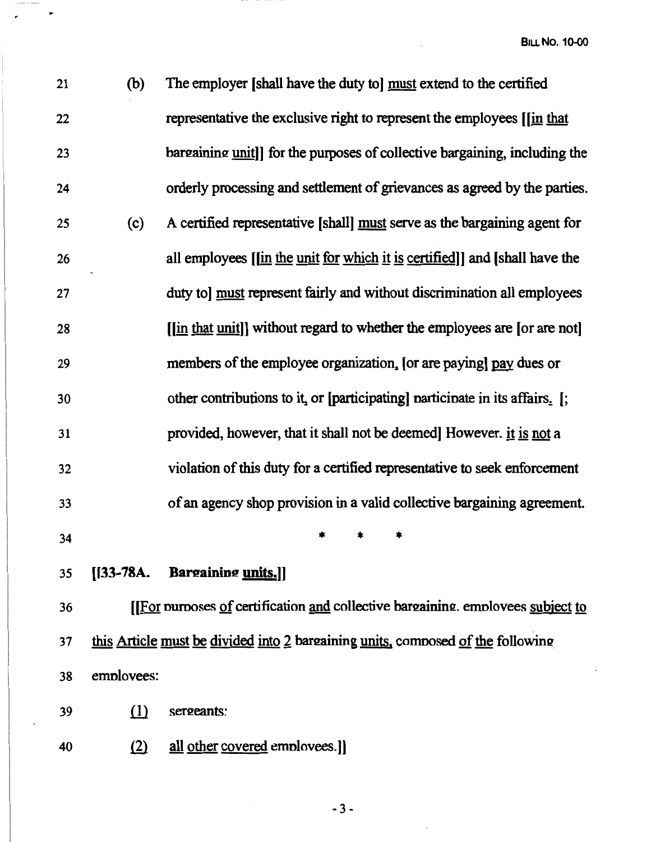**BILL No. 10-00** 

| 21 | (b)        | The employer [shall have the duty to] must extend to the certified              |
|----|------------|---------------------------------------------------------------------------------|
| 22 |            | representative the exclusive right to represent the employees [[in that         |
| 23 |            | bargaining unit]] for the purposes of collective bargaining, including the      |
| 24 |            | orderly processing and settlement of grievances as agreed by the parties.       |
| 25 | (c)        | A certified representative [shall] must serve as the bargaining agent for       |
| 26 |            | all employees [[in the unit for which it is certified]] and [shall have the     |
| 27 |            | duty to] must represent fairly and without discrimination all employees         |
| 28 |            | [[in that unit]] without regard to whether the employees are [or are not]       |
| 29 |            | members of the employee organization, [or are paying] pay dues or               |
| 30 |            | other contributions to it, or [participating] participate in its affairs. [;    |
| 31 |            | provided, however, that it shall not be deemed However. it is not a             |
| 32 |            | violation of this duty for a certified representative to seek enforcement       |
| 33 |            | of an agency shop provision in a valid collective bargaining agreement.         |
| 34 |            |                                                                                 |
| 35 |            | [[33-78A. Bargaining units.]]                                                   |
| 36 |            | [[For purposes of certification and collective bargaining. employees subject to |
| 37 |            | this Article must be divided into 2 bargaining units, composed of the following |
| 38 | employees: |                                                                                 |

 $39$  (1) sergeants:

 $\overline{\phantom{a}}$ 

 $\overline{a}$ 

40 (2) all other covered employees.]